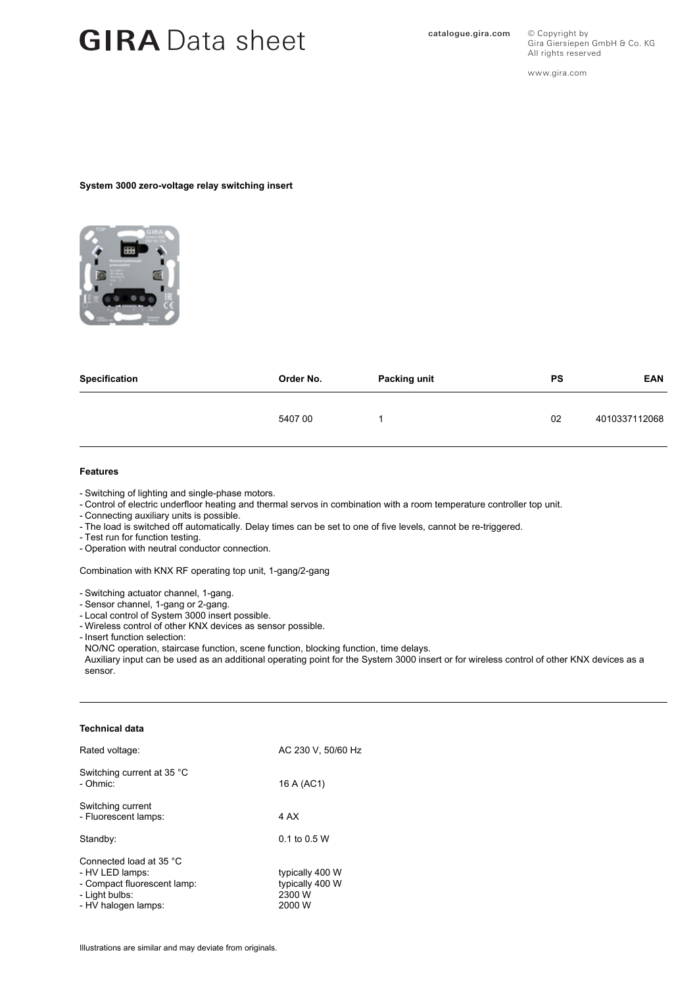## GIRA Data sheet **Catalogue.gira.com**

All rights reserved www.gira.com

© Copyright by

Gira Giersiepen GmbH & Co. KG

#### **System 3000 zero-voltage relay switching insert**



| Specification | Order No. | <b>Packing unit</b> | PS | <b>EAN</b>    |
|---------------|-----------|---------------------|----|---------------|
|               | 540700    |                     | 02 | 4010337112068 |

#### **Features**

- Switching of lighting and single-phase motors.
- Control of electric underfloor heating and thermal servos in combination with a room temperature controller top unit.
- Connecting auxiliary units is possible.
- The load is switched off automatically. Delay times can be set to one of five levels, cannot be re-triggered.
- Test run for function testing.
- Operation with neutral conductor connection.

Combination with KNX RF operating top unit, 1-gang/2-gang

- Switching actuator channel, 1-gang.
- Sensor channel, 1-gang or 2-gang.
- Local control of System 3000 insert possible.
- Wireless control of other KNX devices as sensor possible.
- Insert function selection:

NO/NC operation, staircase function, scene function, blocking function, time delays. Auxiliary input can be used as an additional operating point for the System 3000 insert or for wireless control of other KNX devices as a sensor.

#### **Technical data**

| Rated voltage:                                                                                                     | AC 230 V. 50/60 Hz                                     |  |
|--------------------------------------------------------------------------------------------------------------------|--------------------------------------------------------|--|
| Switching current at 35 °C<br>- Ohmic:                                                                             | 16 A (AC1)                                             |  |
| Switching current<br>- Fluorescent lamps:                                                                          | 4 AX                                                   |  |
| Standby:                                                                                                           | 0.1 to 0.5 W                                           |  |
| Connected load at 35 °C<br>- HV LED lamps:<br>- Compact fluorescent lamp:<br>- Light bulbs:<br>- HV halogen lamps: | typically 400 W<br>typically 400 W<br>2300 W<br>2000 W |  |